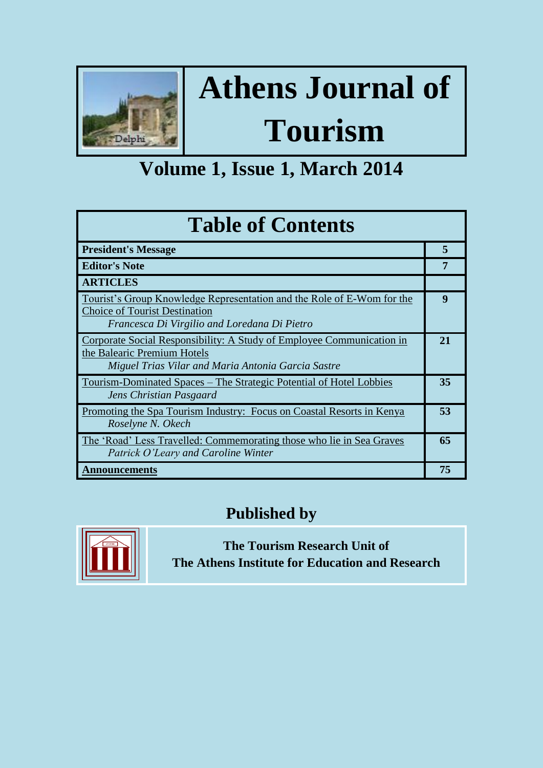

# **Athens Journal of Tourism**

### **Volume 1, Issue 1, March 2014**

| <b>Table of Contents</b>                                                                                                                                       |    |
|----------------------------------------------------------------------------------------------------------------------------------------------------------------|----|
| <b>President's Message</b>                                                                                                                                     | 5  |
| <b>Editor's Note</b>                                                                                                                                           | 7  |
| <b>ARTICLES</b>                                                                                                                                                |    |
| Tourist's Group Knowledge Representation and the Role of E-Wom for the<br><b>Choice of Tourist Destination</b><br>Francesca Di Virgilio and Loredana Di Pietro | 9  |
| Corporate Social Responsibility: A Study of Employee Communication in<br>the Balearic Premium Hotels<br>Miguel Trias Vilar and Maria Antonia Garcia Sastre     | 21 |
| <u> Tourism-Dominated Spaces – The Strategic Potential of Hotel Lobbies</u><br>Jens Christian Pasgaard                                                         | 35 |
| <u>Promoting the Spa Tourism Industry: Focus on Coastal Resorts in Kenya</u><br>Roselyne N. Okech                                                              | 53 |
| The 'Road' Less Travelled: Commemorating those who lie in Sea Graves<br>Patrick O'Leary and Caroline Winter                                                    | 65 |
| <b>Announcements</b>                                                                                                                                           | 75 |

### **Published by**



**The Tourism Research Unit of The Athens Institute for Education and Research**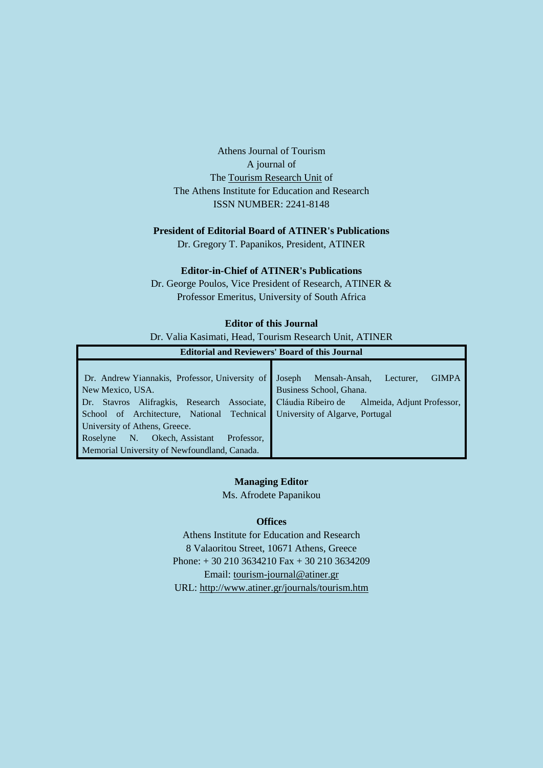Athens Journal of Tourism A journal of The Tourism [Research Unit](http://www.atiner.gr/docs/TOURISM_UNIT.htm) of The Athens Institute for Education and Research ISSN NUMBER: 2241-8148

#### **President of Editorial Board of ATINER's Publications**

Dr. Gregory T. Papanikos, President, ATINER

#### **Editor-in-Chief of ATINER's Publications**

Dr. George Poulos, Vice President of Research, ATINER & Professor Emeritus, University of South Africa

#### **Editor of this Journal**

Dr. Valia Kasimati, Head, Tourism Research Unit, ATINER

| <b>Editorial and Reviewers' Board of this Journal</b> |                                                   |  |  |
|-------------------------------------------------------|---------------------------------------------------|--|--|
|                                                       |                                                   |  |  |
| Dr. Andrew Yiannakis, Professor, University of        | Joseph Mensah-Ansah,<br><b>GIMPA</b><br>Lecturer, |  |  |
| New Mexico, USA.                                      | Business School, Ghana.                           |  |  |
| Dr. Stavros Alifragkis, Research Associate,           | Cláudia Ribeiro de Almeida, Adjunt Professor,     |  |  |
| School of Architecture, National Technical            | University of Algarve, Portugal                   |  |  |
| University of Athens, Greece.                         |                                                   |  |  |
| Roselyne N. Okech, Assistant<br>Professor,            |                                                   |  |  |
| Memorial University of Newfoundland, Canada.          |                                                   |  |  |

#### **Managing Editor**

Ms. Afrodete Papanikou

#### **Offices**

Athens Institute for Education and Research 8 Valaoritou Street, 10671 Athens, Greece Phone: + 30 210 3634210 Fax + 30 210 3634209 Email: [tourism-journal@atiner.gr](mailto:tourism-journal@atiner.gr) URL:<http://www.atiner.gr/journals/tourism.htm>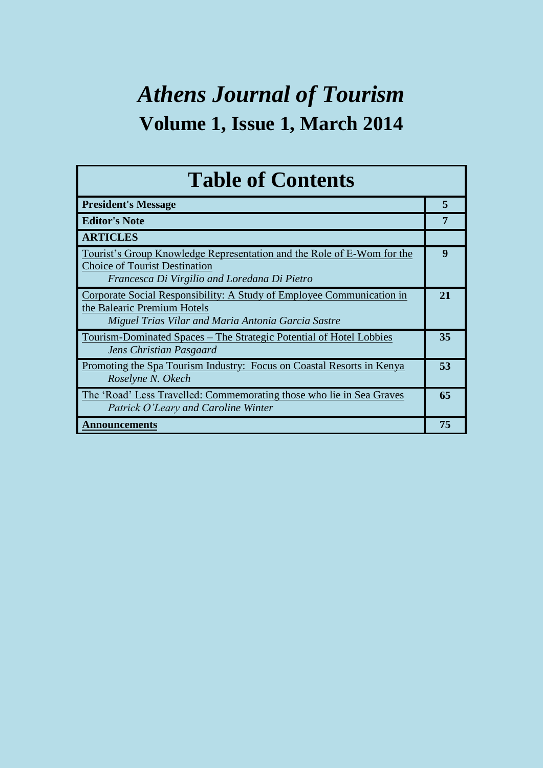## *Athens Journal of Tourism* **Volume 1, Issue 1, March 2014**

| <b>Table of Contents</b>                                                                                                                                       |    |
|----------------------------------------------------------------------------------------------------------------------------------------------------------------|----|
| <b>President's Message</b>                                                                                                                                     | 5  |
| <b>Editor's Note</b>                                                                                                                                           | 7  |
| <b>ARTICLES</b>                                                                                                                                                |    |
| Tourist's Group Knowledge Representation and the Role of E-Wom for the<br><b>Choice of Tourist Destination</b><br>Francesca Di Virgilio and Loredana Di Pietro | 9  |
| Corporate Social Responsibility: A Study of Employee Communication in<br>the Balearic Premium Hotels<br>Miguel Trias Vilar and Maria Antonia Garcia Sastre     | 21 |
| <u> Tourism-Dominated Spaces – The Strategic Potential of Hotel Lobbies</u><br>Jens Christian Pasgaard                                                         | 35 |
| Promoting the Spa Tourism Industry: Focus on Coastal Resorts in Kenya<br>Roselyne N. Okech                                                                     | 53 |
| The 'Road' Less Travelled: Commemorating those who lie in Sea Graves<br>Patrick O'Leary and Caroline Winter                                                    | 65 |
| <b>Announcements</b>                                                                                                                                           | 75 |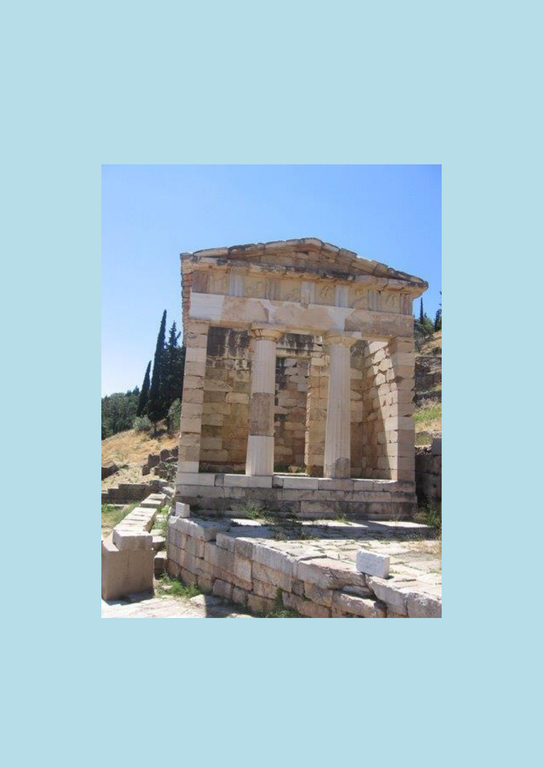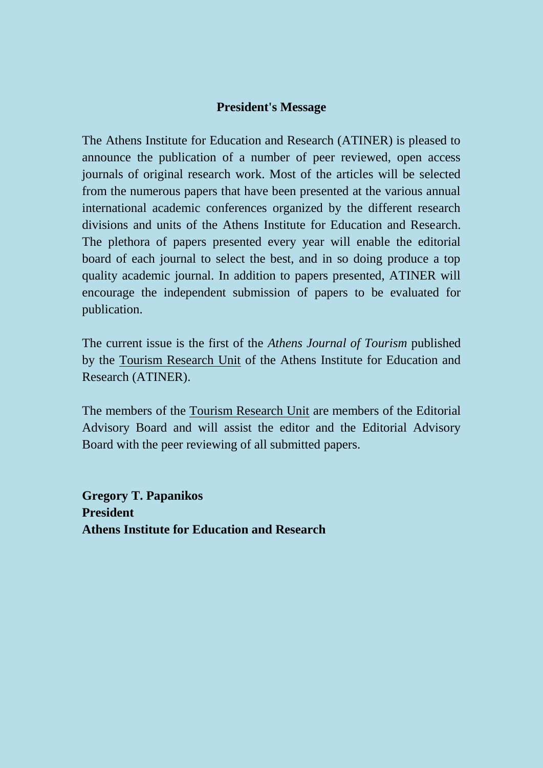#### **President's Message**

The Athens Institute for Education and Research (ATINER) is pleased to announce the publication of a number of peer reviewed, open access journals of original research work. Most of the articles will be selected from the numerous papers that have been presented at the various annual international academic conferences organized by the different research divisions and units of the Athens Institute for Education and Research. The plethora of papers presented every year will enable the editorial board of each journal to select the best, and in so doing produce a top quality academic journal. In addition to papers presented, ATINER will encourage the independent submission of papers to be evaluated for publication.

The current issue is the first of the *Athens Journal of Tourism* published by the Tourism [Research Unit](http://www.atiner.gr/docs/TOURISM_UNIT.htm) of the Athens Institute for Education and Research (ATINER).

The members of the [Tourism Research Unit](http://www.atiner.gr/docs/TOURISM_UNIT.htm) are members of the Editorial Advisory Board and will assist the editor and the Editorial Advisory Board with the peer reviewing of all submitted papers.

**Gregory T. Papanikos President Athens Institute for Education and Research**